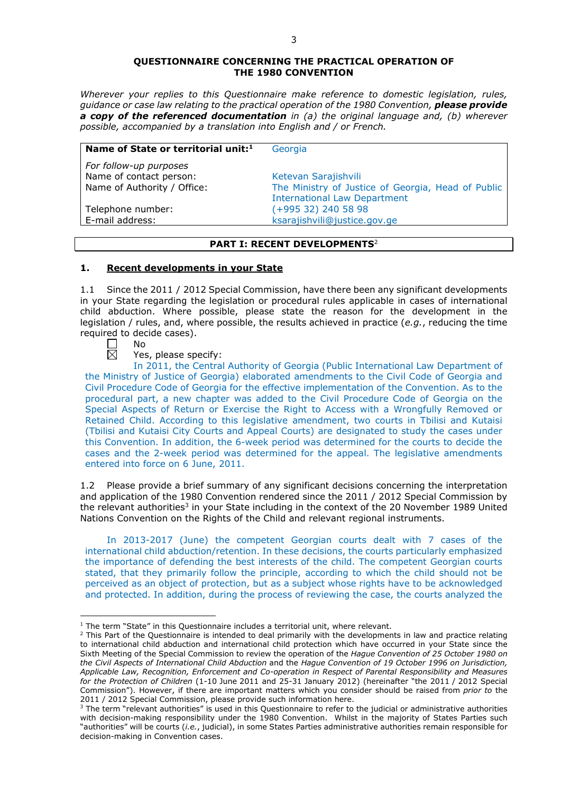#### **QUESTIONNAIRE CONCERNING THE PRACTICAL OPERATION OF THE 1980 CONVENTION**

*Wherever your replies to this Questionnaire make reference to domestic legislation, rules, guidance or case law relating to the practical operation of the 1980 Convention, please provide a copy of the referenced documentation in (a) the original language and, (b) wherever possible, accompanied by a translation into English and / or French.* 

| Name of State or territorial unit: <sup>1</sup> | Georgia                                            |
|-------------------------------------------------|----------------------------------------------------|
| For follow-up purposes                          |                                                    |
| Name of contact person:                         | Ketevan Sarajishvili                               |
| Name of Authority / Office:                     | The Ministry of Justice of Georgia, Head of Public |
|                                                 | <b>International Law Department</b>                |
| Telephone number:                               | $(+995 32)$ 240 58 98                              |
| E-mail address:                                 | ksarajishvili@justice.gov.ge                       |

## **PART I: RECENT DEVELOPMENTS**<sup>2</sup>

### **1. Recent developments in your State**

1.1 Since the 2011 / 2012 Special Commission, have there been any significant developments in your State regarding the legislation or procedural rules applicable in cases of international child abduction. Where possible, please state the reason for the development in the legislation / rules, and, where possible, the results achieved in practice (*e.g.*, reducing the time required to decide cases).

岗

<u>.</u>

No

Yes, please specify:

In 2011, the Central Authority of Georgia (Public International Law Department of the Ministry of Justice of Georgia) elaborated amendments to the Civil Code of Georgia and Civil Procedure Code of Georgia for the effective implementation of the Convention. As to the procedural part, a new chapter was added to the Civil Procedure Code of Georgia on the Special Aspects of Return or Exercise the Right to Access with a Wrongfully Removed or Retained Child. According to this legislative amendment, two courts in Tbilisi and Kutaisi (Tbilisi and Kutaisi City Courts and Appeal Courts) are designated to study the cases under this Convention. In addition, the 6-week period was determined for the courts to decide the cases and the 2-week period was determined for the appeal. The legislative amendments entered into force on 6 June, 2011.

1.2 Please provide a brief summary of any significant decisions concerning the interpretation and application of the 1980 Convention rendered since the 2011 / 2012 Special Commission by the relevant authorities<sup>3</sup> in your State including in the context of the 20 November 1989 United Nations Convention on the Rights of the Child and relevant regional instruments.

In 2013-2017 (June) the competent Georgian courts dealt with 7 cases of the international child abduction/retention. In these decisions, the courts particularly emphasized the importance of defending the best interests of the child. The competent Georgian courts stated, that they primarily follow the principle, according to which the child should not be perceived as an object of protection, but as a subject whose rights have to be acknowledged and protected. In addition, during the process of reviewing the case, the courts analyzed the

<sup>&</sup>lt;sup>1</sup> The term "State" in this Questionnaire includes a territorial unit, where relevant.

 $<sup>2</sup>$  This Part of the Questionnaire is intended to deal primarily with the developments in law and practice relating</sup> to international child abduction and international child protection which have occurred in your State since the Sixth Meeting of the Special Commission to review the operation of the *Hague Convention of 25 October 1980 on the Civil Aspects of International Child Abduction* and the *Hague Convention of 19 October 1996 on Jurisdiction, Applicable Law, Recognition, Enforcement and Co-operation in Respect of Parental Responsibility and Measures for the Protection of Children* (1-10 June 2011 and 25-31 January 2012) (hereinafter "the 2011 / 2012 Special Commission"). However, if there are important matters which you consider should be raised from *prior to* the 2011 / 2012 Special Commission, please provide such information here.

<sup>3</sup> The term "relevant authorities" is used in this Questionnaire to refer to the judicial or administrative authorities with decision-making responsibility under the 1980 Convention. Whilst in the majority of States Parties such "authorities" will be courts (*i.e.*, judicial), in some States Parties administrative authorities remain responsible for decision-making in Convention cases.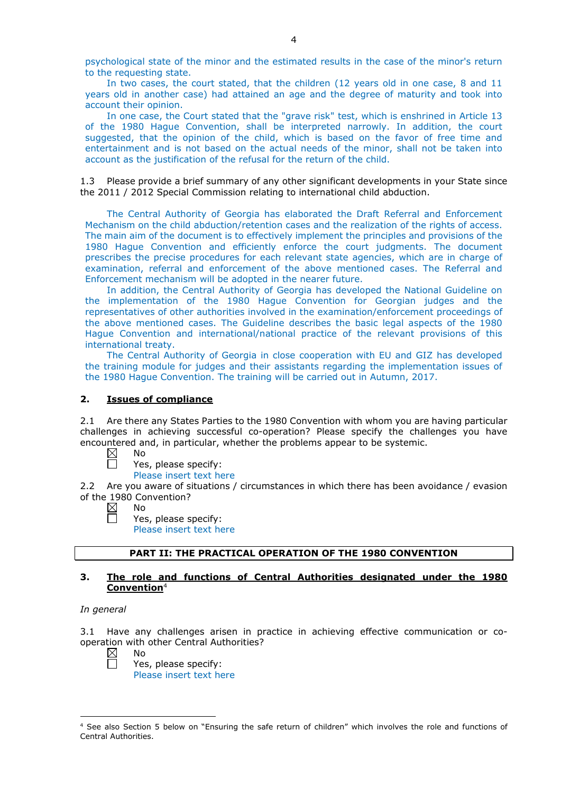psychological state of the minor and the estimated results in the case of the minor's return to the requesting state.

In two cases, the court stated, that the children (12 years old in one case, 8 and 11 years old in another case) had attained an age and the degree of maturity and took into account their opinion.

In one case, the Court stated that the "grave risk" test, which is enshrined in Article 13 of the 1980 Hague Convention, shall be interpreted narrowly. In addition, the court suggested, that the opinion of the child, which is based on the favor of free time and entertainment and is not based on the actual needs of the minor, shall not be taken into account as the justification of the refusal for the return of the child.

1.3 Please provide a brief summary of any other significant developments in your State since the 2011 / 2012 Special Commission relating to international child abduction.

The Central Authority of Georgia has elaborated the Draft Referral and Enforcement Mechanism on the child abduction/retention cases and the realization of the rights of access. The main aim of the document is to effectively implement the principles and provisions of the 1980 Hague Convention and efficiently enforce the court judgments. The document prescribes the precise procedures for each relevant state agencies, which are in charge of examination, referral and enforcement of the above mentioned cases. The Referral and Enforcement mechanism will be adopted in the nearer future.

In addition, the Central Authority of Georgia has developed the National Guideline on the implementation of the 1980 Hague Convention for Georgian judges and the representatives of other authorities involved in the examination/enforcement proceedings of the above mentioned cases. The Guideline describes the basic legal aspects of the 1980 Hague Convention and international/national practice of the relevant provisions of this international treaty.

The Central Authority of Georgia in close cooperation with EU and GIZ has developed the training module for judges and their assistants regarding the implementation issues of the 1980 Hague Convention. The training will be carried out in Autumn, 2017.

#### **2. Issues of compliance**

2.1 Are there any States Parties to the 1980 Convention with whom you are having particular challenges in achieving successful co-operation? Please specify the challenges you have encountered and, in particular, whether the problems appear to be systemic.

- $\boxtimes$ No
	- Yes, please specify:

Please insert text here

2.2 Are you aware of situations / circumstances in which there has been avoidance / evasion of the 1980 Convention?

 $\boxtimes$ No

Yes, please specify:

Please insert text here

#### **PART II: THE PRACTICAL OPERATION OF THE 1980 CONVENTION**

#### **3. The role and functions of Central Authorities designated under the 1980 Convention**<sup>4</sup>

*In general*

3.1 Have any challenges arisen in practice in achieving effective communication or cooperation with other Central Authorities?

 $\boxtimes$ 

-

No

Yes, please specify: Please insert text here

<sup>4</sup> See also Section 5 below on "Ensuring the safe return of children" which involves the role and functions of Central Authorities.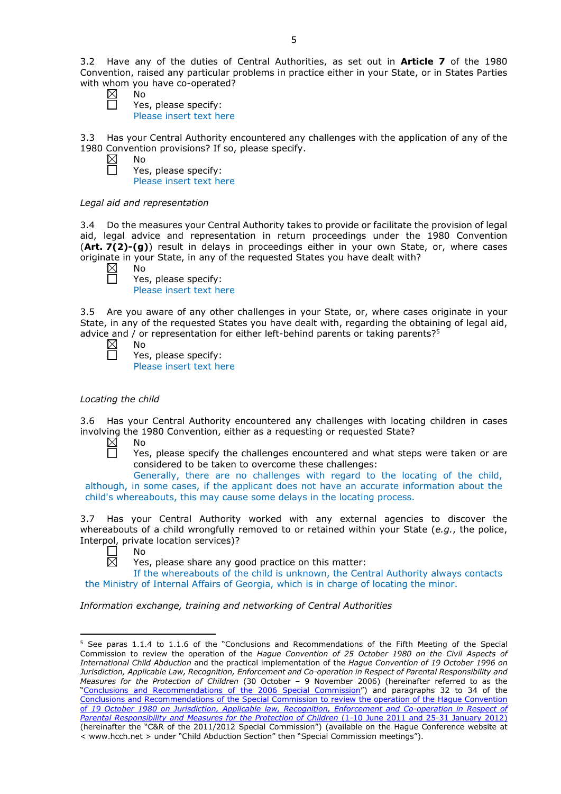3.2 Have any of the duties of Central Authorities, as set out in **Article 7** of the 1980 Convention, raised any particular problems in practice either in your State, or in States Parties with whom you have co-operated?

| No |
|----|
|    |

Yes, please specify: Please insert text here

3.3 Has your Central Authority encountered any challenges with the application of any of the 1980 Convention provisions? If so, please specify.

| Nο     |
|--------|
| ï<br>▃ |

Yes, please specify: Please insert text here

## *Legal aid and representation*

3.4 Do the measures your Central Authority takes to provide or facilitate the provision of legal aid, legal advice and representation in return proceedings under the 1980 Convention (**Art. 7(2)-(g)**) result in delays in proceedings either in your own State, or, where cases originate in your State, in any of the requested States you have dealt with?

 $\boxtimes$ No  $\Box$ 

Yes, please specify: Please insert text here

3.5 Are you aware of any other challenges in your State, or, where cases originate in your State, in any of the requested States you have dealt with, regarding the obtaining of legal aid, advice and / or representation for either left-behind parents or taking parents?<sup>5</sup><br>  $\boxtimes$  No<br>
Yes, please specify: No

Yes, please specify: Please insert text here

## *Locating the child*

3.6 Has your Central Authority encountered any challenges with locating children in cases involving the 1980 Convention, either as a requesting or requested State?

 $\boxtimes$ No  $\Box$ 

Yes, please specify the challenges encountered and what steps were taken or are considered to be taken to overcome these challenges:

Generally, there are no challenges with regard to the locating of the child, although, in some cases, if the applicant does not have an accurate information about the child's whereabouts, this may cause some delays in the locating process.

3.7 Has your Central Authority worked with any external agencies to discover the whereabouts of a child wrongfully removed to or retained within your State (*e.g.*, the police, Interpol, private location services)?

No  $\overline{\boxtimes}$ 

<u>.</u>

Yes, please share any good practice on this matter:

If the whereabouts of the child is unknown, the Central Authority always contacts the Ministry of Internal Affairs of Georgia, which is in charge of locating the minor.

*Information exchange, training and networking of Central Authorities*

<sup>5</sup> See paras 1.1.4 to 1.1.6 of the "Conclusions and Recommendations of the Fifth Meeting of the Special Commission to review the operation of the *Hague Convention of 25 October 1980 on the Civil Aspects of International Child Abduction* and the practical implementation of the *Hague Convention of 19 October 1996 on Jurisdiction, Applicable Law, Recognition, Enforcement and Co-operation in Respect of Parental Responsibility and Measures for the Protection of Children* (30 October – 9 November 2006) (hereinafter referred to as the ["Conclusions and Recommendations of the 2006 Special Commission"](https://assets.hcch.net/upload/concl28sc5_e.pdf)) and paragraphs 32 to 34 of the [Conclusions and Recommendations of the Special Commission](https://assets.hcch.net/upload/wop/concl28sc6_e.pdf) to review the operation of the Hague Convention of *[19 October 1980 on Jurisdiction, Applicable law, Recognition, Enforcement and Co-operation in Respect of](https://assets.hcch.net/upload/wop/concl28sc6_e.pdf)  [Parental Responsibility and Measures for the Protection of Children](https://assets.hcch.net/upload/wop/concl28sc6_e.pdf)* (1-10 June 2011 and 25-31 January 2012) (hereinafter the "C&R of the 2011/2012 Special Commission") (available on the Hague Conference website at < www.hcch.net > under "Child Abduction Section" then "Special Commission meetings").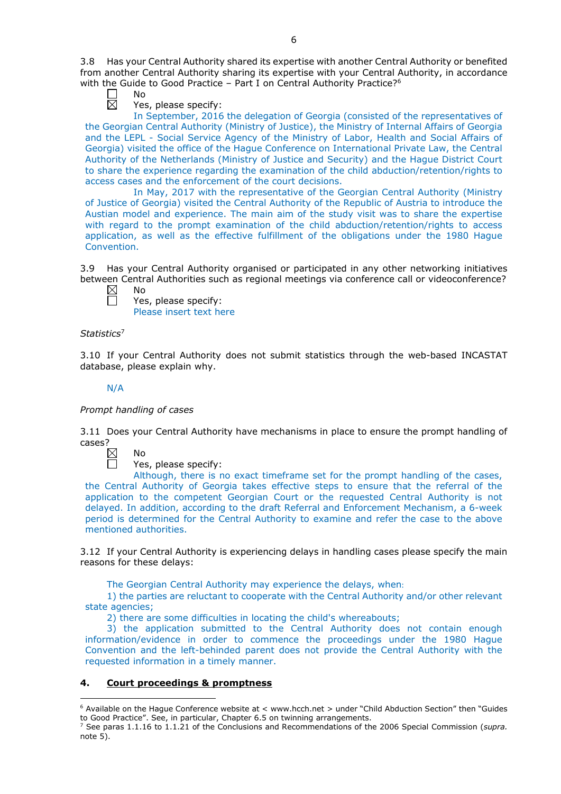3.8 Has your Central Authority shared its expertise with another Central Authority or benefited from another Central Authority sharing its expertise with your Central Authority, in accordance with the Guide to Good Practice - Part I on Central Authority Practice?<sup>6</sup>

┍ No 反

Yes, please specify:

In September, 2016 the delegation of Georgia (consisted of the representatives of the Georgian Central Authority (Ministry of Justice), the Ministry of Internal Affairs of Georgia and the LEPL - Social Service Agency of the Ministry of Labor, Health and Social Affairs of Georgia) visited the office of the Hague Conference on International Private Law, the Central Authority of the Netherlands (Ministry of Justice and Security) and the Hague District Court to share the experience regarding the examination of the child abduction/retention/rights to access cases and the enforcement of the court decisions.

In May, 2017 with the representative of the Georgian Central Authority (Ministry of Justice of Georgia) visited the Central Authority of the Republic of Austria to introduce the Austian model and experience. The main aim of the study visit was to share the expertise with regard to the prompt examination of the child abduction/retention/rights to access application, as well as the effective fulfillment of the obligations under the 1980 Hague Convention.

3.9 Has your Central Authority organised or participated in any other networking initiatives between Central Authorities such as regional meetings via conference call or videoconference?

No Yes, please specify: Please insert text here

### *Statistics*<sup>7</sup>

3.10 If your Central Authority does not submit statistics through the web-based INCASTAT database, please explain why.

### N/A

#### *Prompt handling of cases*

3.11 Does your Central Authority have mechanisms in place to ensure the prompt handling of cases?

 $\boxtimes$ No

-

Yes, please specify:

Although, there is no exact timeframe set for the prompt handling of the cases, the Central Authority of Georgia takes effective steps to ensure that the referral of the application to the competent Georgian Court or the requested Central Authority is not delayed. In addition, according to the draft Referral and Enforcement Mechanism, a 6-week period is determined for the Central Authority to examine and refer the case to the above mentioned authorities.

3.12 If your Central Authority is experiencing delays in handling cases please specify the main reasons for these delays:

The Georgian Central Authority may experience the delays, when:

1) the parties are reluctant to cooperate with the Central Authority and/or other relevant state agencies;

2) there are some difficulties in locating the child's whereabouts;

3) the application submitted to the Central Authority does not contain enough information/evidence in order to commence the proceedings under the 1980 Hague Convention and the left-behinded parent does not provide the Central Authority with the requested information in a timely manner.

## **4. Court proceedings & promptness**

 $6$  Available on the Hague Conference website at < www.hcch.net > under "Child Abduction Section" then "Guides to Good Practice". See, in particular, Chapter 6.5 on twinning arrangements.

<sup>7</sup> See paras 1.1.16 to 1.1.21 of the Conclusions and Recommendations of the 2006 Special Commission (*supra.*  note  $5$ ).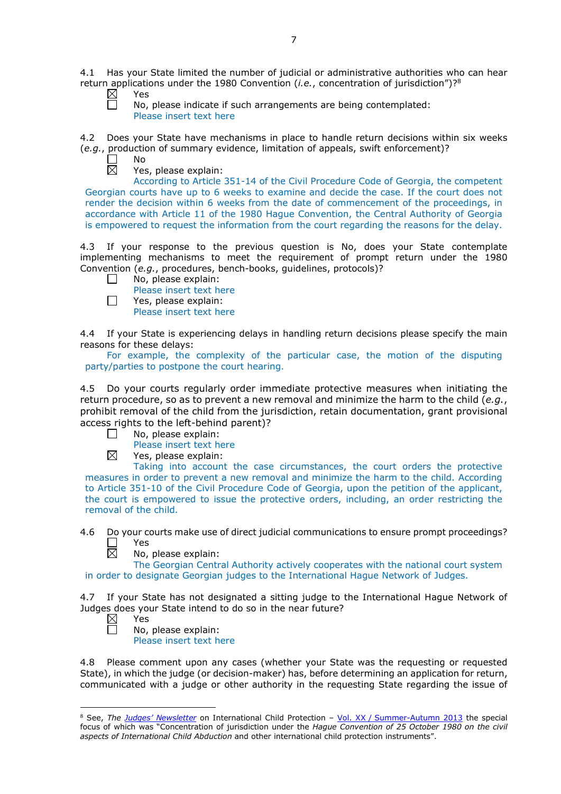4.1 Has your State limited the number of judicial or administrative authorities who can hear return applications under the 1980 Convention (*i.e.*, concentration of jurisdiction")?8

| ρς  |
|-----|
| No, |

No, please indicate if such arrangements are being contemplated: Please insert text here

4.2 Does your State have mechanisms in place to handle return decisions within six weeks (*e.g.*, production of summary evidence, limitation of appeals, swift enforcement)?

- No  $\boxtimes$ 
	- Yes, please explain:

According to Article 351-14 of the Civil Procedure Code of Georgia, the competent Georgian courts have up to 6 weeks to examine and decide the case. If the court does not render the decision within 6 weeks from the date of commencement of the proceedings, in accordance with Article 11 of the 1980 Hague Convention, the Central Authority of Georgia is empowered to request the information from the court regarding the reasons for the delay.

4.3 If your response to the previous question is No, does your State contemplate implementing mechanisms to meet the requirement of prompt return under the 1980 Convention (*e.g.*, procedures, bench-books, guidelines, protocols)?

- $\Box$ No, please explain:
	- Please insert text here
- $\Box$ Yes, please explain:
	- Please insert text here

4.4 If your State is experiencing delays in handling return decisions please specify the main reasons for these delays:

For example, the complexity of the particular case, the motion of the disputing party/parties to postpone the court hearing.

4.5 Do your courts regularly order immediate protective measures when initiating the return procedure, so as to prevent a new removal and minimize the harm to the child (*e.g.*, prohibit removal of the child from the jurisdiction, retain documentation, grant provisional access rights to the left-behind parent)?

- No, please explain:  $\Box$ 
	- Please insert text here

Yes, please explain:

Taking into account the case circumstances, the court orders the protective measures in order to prevent a new removal and minimize the harm to the child. According to Article 351-10 of the Civil Procedure Code of Georgia, upon the petition of the applicant, the court is empowered to issue the protective orders, including, an order restricting the removal of the child.

4.6 Do your courts make use of direct judicial communications to ensure prompt proceedings?  $\Box$ Yes  $\bar{\boxtimes}$ 

No, please explain:

The Georgian Central Authority actively cooperates with the national court system in order to designate Georgian judges to the International Hague Network of Judges.

4.7 If your State has not designated a sitting judge to the International Hague Network of Judges does your State intend to do so in the near future?<br>  $\boxtimes$  Yes

Yes  $\Box$ 

⊠

-

No, please explain:

Please insert text here

4.8 Please comment upon any cases (whether your State was the requesting or requested State), in which the judge (or decision-maker) has, before determining an application for return, communicated with a judge or other authority in the requesting State regarding the issue of

<sup>8</sup> See, *The [Judges' Newsletter](https://www.hcch.net/en/instruments/conventions/publications2/judges-newsletter)* on International Child Protection – Vol. XX / [Summer-Autumn 2013](https://assets.hcch.net/upload/newsletter/nl2013tome20en.pdf) the special focus of which was "Concentration of jurisdiction under the *Hague Convention of 25 October 1980 on the civil aspects of International Child Abduction* and other international child protection instruments".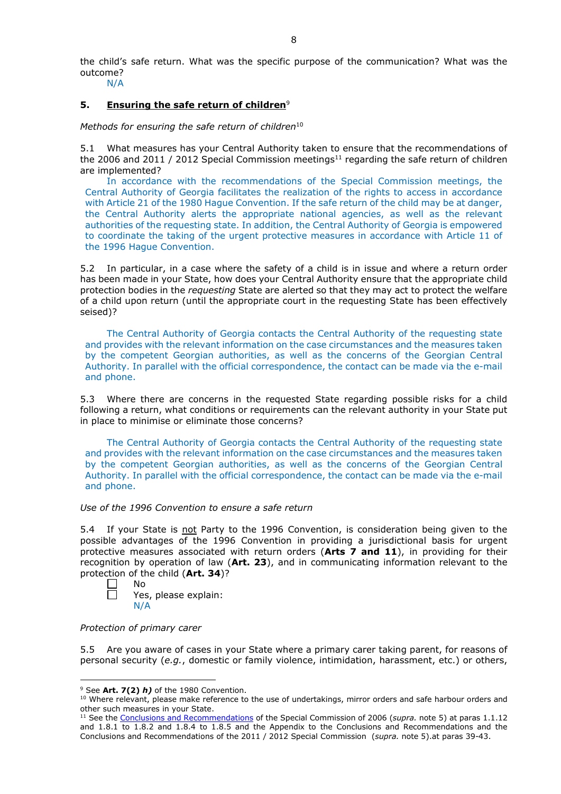the child's safe return. What was the specific purpose of the communication? What was the outcome?

N/A

### **5. Ensuring the safe return of children**<sup>9</sup>

*Methods for ensuring the safe return of children*<sup>10</sup>

5.1 What measures has your Central Authority taken to ensure that the recommendations of the 2006 and 2011 / 2012 Special Commission meetings<sup>11</sup> regarding the safe return of children are implemented?

In accordance with the recommendations of the Special Commission meetings, the Central Authority of Georgia facilitates the realization of the rights to access in accordance with Article 21 of the 1980 Hague Convention. If the safe return of the child may be at danger, the Central Authority alerts the appropriate national agencies, as well as the relevant authorities of the requesting state. In addition, the Central Authority of Georgia is empowered to coordinate the taking of the urgent protective measures in accordance with Article 11 of the 1996 Hague Convention.

5.2 In particular, in a case where the safety of a child is in issue and where a return order has been made in your State, how does your Central Authority ensure that the appropriate child protection bodies in the *requesting* State are alerted so that they may act to protect the welfare of a child upon return (until the appropriate court in the requesting State has been effectively seised)?

The Central Authority of Georgia contacts the Central Authority of the requesting state and provides with the relevant information on the case circumstances and the measures taken by the competent Georgian authorities, as well as the concerns of the Georgian Central Authority. In parallel with the official correspondence, the contact can be made via the e-mail and phone.

5.3 Where there are concerns in the requested State regarding possible risks for a child following a return, what conditions or requirements can the relevant authority in your State put in place to minimise or eliminate those concerns?

The Central Authority of Georgia contacts the Central Authority of the requesting state and provides with the relevant information on the case circumstances and the measures taken by the competent Georgian authorities, as well as the concerns of the Georgian Central Authority. In parallel with the official correspondence, the contact can be made via the e-mail and phone.

#### *Use of the 1996 Convention to ensure a safe return*

5.4 If your State is not Party to the 1996 Convention, is consideration being given to the possible advantages of the 1996 Convention in providing a jurisdictional basis for urgent protective measures associated with return orders (**Arts 7 and 11**), in providing for their recognition by operation of law (**Art. 23**), and in communicating information relevant to the protection of the child (**Art. 34**)?

No Yes, please explain: N/A

*Protection of primary carer*

 $\perp$ 

-

5.5 Are you aware of cases in your State where a primary carer taking parent, for reasons of personal security (*e.g.*, domestic or family violence, intimidation, harassment, etc.) or others,

<sup>9</sup> See **Art. 7(2)** *h)* of the 1980 Convention.

<sup>&</sup>lt;sup>10</sup> Where relevant, please make reference to the use of undertakings, mirror orders and safe harbour orders and other such measures in your State.

<sup>11</sup> See the [Conclusions and Recommendations](https://assets.hcch.net/upload/concl28sc5_e.pdf) of the Special Commission of 2006 (*supra.* note 5) at paras 1.1.12 and 1.8.1 to 1.8.2 and 1.8.4 to 1.8.5 and the Appendix to the Conclusions and Recommendations and the [Conclusions and Recommendations of the 2011](https://assets.hcch.net/upload/wop/concl28sc6_e.pdf) / 2012 Special Commission (*supra.* note 5).at paras 39-43.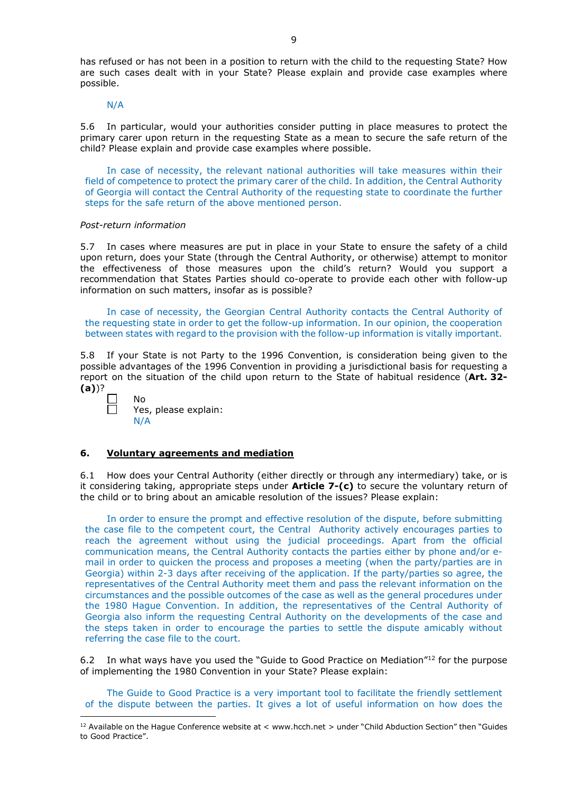has refused or has not been in a position to return with the child to the requesting State? How are such cases dealt with in your State? Please explain and provide case examples where possible.

#### N/A

5.6 In particular, would your authorities consider putting in place measures to protect the primary carer upon return in the requesting State as a mean to secure the safe return of the child? Please explain and provide case examples where possible.

In case of necessity, the relevant national authorities will take measures within their field of competence to protect the primary carer of the child. In addition, the Central Authority of Georgia will contact the Central Authority of the requesting state to coordinate the further steps for the safe return of the above mentioned person.

#### *Post-return information*

5.7 In cases where measures are put in place in your State to ensure the safety of a child upon return, does your State (through the Central Authority, or otherwise) attempt to monitor the effectiveness of those measures upon the child's return? Would you support a recommendation that States Parties should co-operate to provide each other with follow-up information on such matters, insofar as is possible?

In case of necessity, the Georgian Central Authority contacts the Central Authority of the requesting state in order to get the follow-up information. In our opinion, the cooperation between states with regard to the provision with the follow-up information is vitally important.

5.8 If your State is not Party to the 1996 Convention, is consideration being given to the possible advantages of the 1996 Convention in providing a jurisdictional basis for requesting a report on the situation of the child upon return to the State of habitual residence (**Art. 32- (a)**)?

| $\mathbf{L}$ | N٥                          |
|--------------|-----------------------------|
| $\Box$       | Yes, please explain:<br>N/A |

-

#### **6. Voluntary agreements and mediation**

6.1 How does your Central Authority (either directly or through any intermediary) take, or is it considering taking, appropriate steps under **Article 7-(c)** to secure the voluntary return of the child or to bring about an amicable resolution of the issues? Please explain:

In order to ensure the prompt and effective resolution of the dispute, before submitting the case file to the competent court, the Central Authority actively encourages parties to reach the agreement without using the judicial proceedings. Apart from the official communication means, the Central Authority contacts the parties either by phone and/or email in order to quicken the process and proposes a meeting (when the party/parties are in Georgia) within 2-3 days after receiving of the application. If the party/parties so agree, the representatives of the Central Authority meet them and pass the relevant information on the circumstances and the possible outcomes of the case as well as the general procedures under the 1980 Hague Convention. In addition, the representatives of the Central Authority of Georgia also inform the requesting Central Authority on the developments of the case and the steps taken in order to encourage the parties to settle the dispute amicably without referring the case file to the court.

6.2 In what ways have you used the "Guide to Good Practice on Mediation" $12$  for the purpose of implementing the 1980 Convention in your State? Please explain:

The Guide to Good Practice is a very important tool to facilitate the friendly settlement of the dispute between the parties. It gives a lot of useful information on how does the

<sup>&</sup>lt;sup>12</sup> Available on the Hague Conference website at < www.hcch.net > under "Child Abduction Section" then "Guides to Good Practice".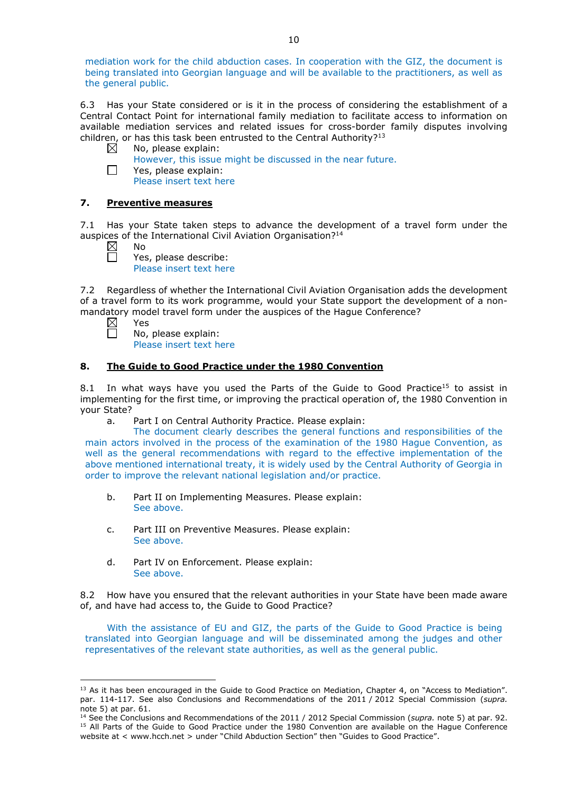mediation work for the child abduction cases. In cooperation with the GIZ, the document is being translated into Georgian language and will be available to the practitioners, as well as the general public.

6.3 Has your State considered or is it in the process of considering the establishment of a Central Contact Point for international family mediation to facilitate access to information on available mediation services and related issues for cross-border family disputes involving children, or has this task been entrusted to the Central Authority?<sup>13</sup>

- $\boxtimes$ No, please explain: However, this issue might be discussed in the near future.  $\Box$ Yes, please explain:
	- Please insert text here

## **7. Preventive measures**

7.1 Has your State taken steps to advance the development of a travel form under the auspices of the International Civil Aviation Organisation?14

 $\boxtimes$ No

 $\Box$ 

П

Yes, please describe: Please insert text here

7.2 Regardless of whether the International Civil Aviation Organisation adds the development of a travel form to its work programme, would your State support the development of a nonmandatory model travel form under the auspices of the Hague Conference?

 $\boxtimes$ Yes

-

No, please explain:

Please insert text here

## **8. The Guide to Good Practice under the 1980 Convention**

8.1 In what ways have you used the Parts of the Guide to Good Practice<sup>15</sup> to assist in implementing for the first time, or improving the practical operation of, the 1980 Convention in your State?

a. Part I on Central Authority Practice. Please explain:

The document clearly describes the general functions and responsibilities of the main actors involved in the process of the examination of the 1980 Hague Convention, as well as the general recommendations with regard to the effective implementation of the above mentioned international treaty, it is widely used by the Central Authority of Georgia in order to improve the relevant national legislation and/or practice.

- b. Part II on Implementing Measures. Please explain: See above.
- c. Part III on Preventive Measures. Please explain: See above.
- d. Part IV on Enforcement. Please explain: See above.

8.2 How have you ensured that the relevant authorities in your State have been made aware of, and have had access to, the Guide to Good Practice?

With the assistance of EU and GIZ, the parts of the Guide to Good Practice is being translated into Georgian language and will be disseminated among the judges and other representatives of the relevant state authorities, as well as the general public.

<sup>&</sup>lt;sup>13</sup> As it has been encouraged in the Guide to Good Practice on Mediation, Chapter 4, on "Access to Mediation". par. 114-117. See also [Conclusions and Recommendations of the 2011](https://assets.hcch.net/upload/wop/concl28sc6_e.pdf) / 2012 Special Commission (*supra.* note 5) at par. 61.

<sup>14</sup> See the [Conclusions and Recommendations of the 2011](https://assets.hcch.net/upload/wop/concl28sc6_e.pdf) / 2012 Special Commission (*supra.* note 5) at par. 92. <sup>15</sup> All Parts of the Guide to Good Practice under the 1980 Convention are available on the Hague Conference website at < www.hcch.net > under "Child Abduction Section" then "Guides to Good Practice".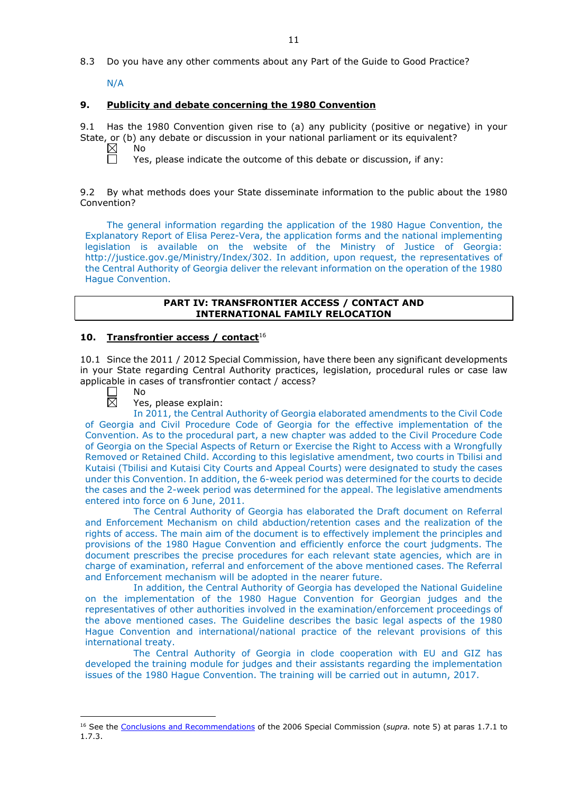8.3 Do you have any other comments about any Part of the Guide to Good Practice?

N/A

### **9. Publicity and debate concerning the 1980 Convention**

9.1 Has the 1980 Convention given rise to (a) any publicity (positive or negative) in your State, or (b) any debate or discussion in your national parliament or its equivalent? No

 $\boxtimes$  $\Box$ 

Yes, please indicate the outcome of this debate or discussion, if any:

9.2 By what methods does your State disseminate information to the public about the 1980 Convention?

The general information regarding the application of the 1980 Hague Convention, the Explanatory Report of Elisa Perez-Vera, the application forms and the national implementing legislation is available on the website of the Ministry of Justice of Georgia: http://justice.gov.ge/Ministry/Index/302. In addition, upon request, the representatives of the Central Authority of Georgia deliver the relevant information on the operation of the 1980 Hague Convention.

#### **PART IV: TRANSFRONTIER ACCESS / CONTACT AND INTERNATIONAL FAMILY RELOCATION**

## **10. Transfrontier access / contact**<sup>16</sup>

10.1 Since the 2011 / 2012 Special Commission, have there been any significant developments in your State regarding Central Authority practices, legislation, procedural rules or case law applicable in cases of transfrontier contact / access?

No 岗

-

Yes, please explain:

In 2011, the Central Authority of Georgia elaborated amendments to the Civil Code of Georgia and Civil Procedure Code of Georgia for the effective implementation of the Convention. As to the procedural part, a new chapter was added to the Civil Procedure Code of Georgia on the Special Aspects of Return or Exercise the Right to Access with a Wrongfully Removed or Retained Child. According to this legislative amendment, two courts in Tbilisi and Kutaisi (Tbilisi and Kutaisi City Courts and Appeal Courts) were designated to study the cases under this Convention. In addition, the 6-week period was determined for the courts to decide the cases and the 2-week period was determined for the appeal. The legislative amendments entered into force on 6 June, 2011.

The Central Authority of Georgia has elaborated the Draft document on Referral and Enforcement Mechanism on child abduction/retention cases and the realization of the rights of access. The main aim of the document is to effectively implement the principles and provisions of the 1980 Hague Convention and efficiently enforce the court judgments. The document prescribes the precise procedures for each relevant state agencies, which are in charge of examination, referral and enforcement of the above mentioned cases. The Referral and Enforcement mechanism will be adopted in the nearer future.

In addition, the Central Authority of Georgia has developed the National Guideline on the implementation of the 1980 Hague Convention for Georgian judges and the representatives of other authorities involved in the examination/enforcement proceedings of the above mentioned cases. The Guideline describes the basic legal aspects of the 1980 Hague Convention and international/national practice of the relevant provisions of this international treaty.

The Central Authority of Georgia in clode cooperation with EU and GIZ has developed the training module for judges and their assistants regarding the implementation issues of the 1980 Hague Convention. The training will be carried out in autumn, 2017.

<sup>&</sup>lt;sup>16</sup> See the [Conclusions and Recommendations](https://assets.hcch.net/upload/concl28sc5_e.pdf) of the 2006 Special Commission (supra. note 5) at paras 1.7.1 to 1.7.3.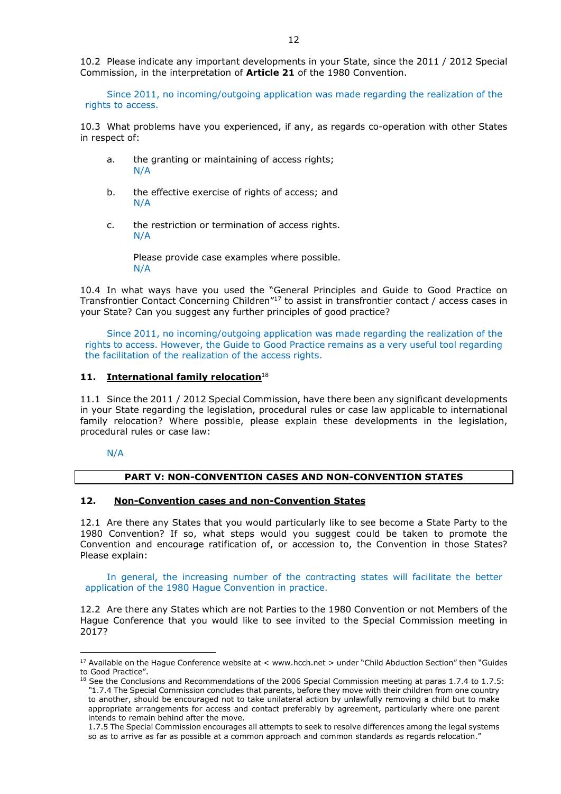10.2 Please indicate any important developments in your State, since the 2011 / 2012 Special Commission, in the interpretation of **Article 21** of the 1980 Convention.

Since 2011, no incoming/outgoing application was made regarding the realization of the rights to access.

10.3 What problems have you experienced, if any, as regards co-operation with other States in respect of:

- a. the granting or maintaining of access rights; N/A
- b. the effective exercise of rights of access; and N/A
- c. the restriction or termination of access rights. N/A

Please provide case examples where possible. N/A

10.4 In what ways have you used the "General Principles and Guide to Good Practice on Transfrontier Contact Concerning Children"17 to assist in transfrontier contact / access cases in your State? Can you suggest any further principles of good practice?

Since 2011, no incoming/outgoing application was made regarding the realization of the rights to access. However, the Guide to Good Practice remains as a very useful tool regarding the facilitation of the realization of the access rights.

## **11. International family relocation**<sup>18</sup>

11.1 Since the 2011 / 2012 Special Commission, have there been any significant developments in your State regarding the legislation, procedural rules or case law applicable to international family relocation? Where possible, please explain these developments in the legislation, procedural rules or case law:

#### N/A

<u>.</u>

## **PART V: NON-CONVENTION CASES AND NON-CONVENTION STATES**

## **12. Non-Convention cases and non-Convention States**

12.1 Are there any States that you would particularly like to see become a State Party to the 1980 Convention? If so, what steps would you suggest could be taken to promote the Convention and encourage ratification of, or accession to, the Convention in those States? Please explain:

In general, the increasing number of the contracting states will facilitate the better application of the 1980 Hague Convention in practice.

12.2 Are there any States which are not Parties to the 1980 Convention or not Members of the Hague Conference that you would like to see invited to the Special Commission meeting in 2017?

<sup>&</sup>lt;sup>17</sup> Available on the Hague Conference website at < www.hcch.net > under "Child Abduction Section" then "Guides to Good Practice".

 $18$  See the Conclusions and Recommendations of the 2006 Special Commission meeting at paras 1.7.4 to 1.7.5; *"*1.7.4 The Special Commission concludes that parents, before they move with their children from one country to another, should be encouraged not to take unilateral action by unlawfully removing a child but to make appropriate arrangements for access and contact preferably by agreement, particularly where one parent intends to remain behind after the move.

<sup>1.7.5</sup> The Special Commission encourages all attempts to seek to resolve differences among the legal systems so as to arrive as far as possible at a common approach and common standards as regards relocation."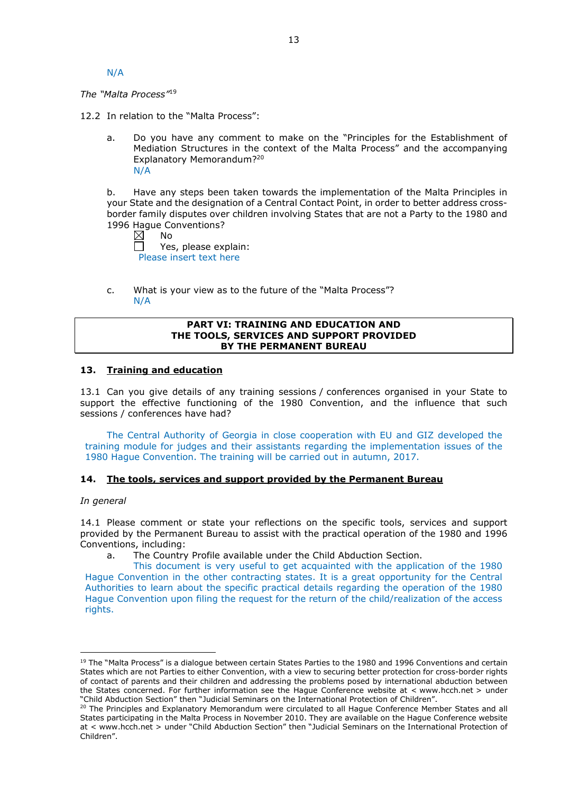N/A

*The "Malta Process"*<sup>19</sup>

12.2 In relation to the "Malta Process":

a. Do you have any comment to make on the "Principles for the Establishment of Mediation Structures in the context of the Malta Process" and the accompanying Explanatory Memorandum?20 N/A

b. Have any steps been taken towards the implementation of the Malta Principles in your State and the designation of a Central Contact Point, in order to better address crossborder family disputes over children involving States that are not a Party to the 1980 and 1996 Hague Conventions?

 $\boxtimes$ No П Yes, please explain: Please insert text here

c. What is your view as to the future of the "Malta Process"? N/A

### **PART VI: TRAINING AND EDUCATION AND THE TOOLS, SERVICES AND SUPPORT PROVIDED BY THE PERMANENT BUREAU**

#### **13. Training and education**

13.1 Can you give details of any training sessions / conferences organised in your State to support the effective functioning of the 1980 Convention, and the influence that such sessions / conferences have had?

The Central Authority of Georgia in close cooperation with EU and GIZ developed the training module for judges and their assistants regarding the implementation issues of the 1980 Hague Convention. The training will be carried out in autumn, 2017.

#### **14. The tools, services and support provided by the Permanent Bureau**

#### *In general*

<u>.</u>

14.1 Please comment or state your reflections on the specific tools, services and support provided by the Permanent Bureau to assist with the practical operation of the 1980 and 1996 Conventions, including:

a. The Country Profile available under the Child Abduction Section.

This document is very useful to get acquainted with the application of the 1980 Hague Convention in the other contracting states. It is a great opportunity for the Central Authorities to learn about the specific practical details regarding the operation of the 1980 Hague Convention upon filing the request for the return of the child/realization of the access rights.

<sup>&</sup>lt;sup>19</sup> The "Malta Process" is a dialogue between certain States Parties to the 1980 and 1996 Conventions and certain States which are not Parties to either Convention, with a view to securing better protection for cross-border rights of contact of parents and their children and addressing the problems posed by international abduction between the States concerned. For further information see the Hague Conference website at < www.hcch.net > under "Child Abduction Section" then "Judicial Seminars on the International Protection of Children".

<sup>20</sup> The Principles and Explanatory Memorandum were circulated to all Hague Conference Member States and all States participating in the Malta Process in November 2010. They are available on the Hague Conference website at < www.hcch.net > under "Child Abduction Section" then "Judicial Seminars on the International Protection of Children".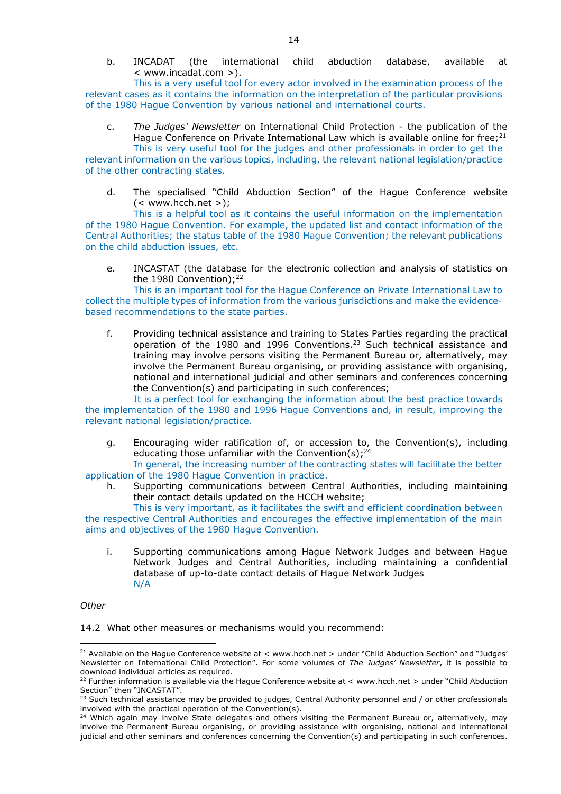b. INCADAT (the international child abduction database, available at < www.incadat.com >).

This is a very useful tool for every actor involved in the examination process of the relevant cases as it contains the information on the interpretation of the particular provisions of the 1980 Hague Convention by various national and international courts.

c. *The Judges' Newsletter* on International Child Protection - the publication of the Hague Conference on Private International Law which is available online for free; $2^1$ This is very useful tool for the judges and other professionals in order to get the relevant information on the various topics, including, the relevant national legislation/practice

of the other contracting states.

d. The specialised "Child Abduction Section" of the Hague Conference website  $(<$  www.hcch.net  $>$ ):

This is a helpful tool as it contains the useful information on the implementation of the 1980 Hague Convention. For example, the updated list and contact information of the Central Authorities; the status table of the 1980 Hague Convention; the relevant publications on the child abduction issues, etc.

e. INCASTAT (the database for the electronic collection and analysis of statistics on the 1980 Convention);<sup>22</sup>

This is an important tool for the Hague Conference on Private International Law to collect the multiple types of information from the various jurisdictions and make the evidencebased recommendations to the state parties.

f. Providing technical assistance and training to States Parties regarding the practical operation of the 1980 and 1996 Conventions.<sup>23</sup> Such technical assistance and training may involve persons visiting the Permanent Bureau or, alternatively, may involve the Permanent Bureau organising, or providing assistance with organising, national and international judicial and other seminars and conferences concerning the Convention(s) and participating in such conferences;

It is a perfect tool for exchanging the information about the best practice towards the implementation of the 1980 and 1996 Hague Conventions and, in result, improving the relevant national legislation/practice.

g. Encouraging wider ratification of, or accession to, the Convention(s), including educating those unfamiliar with the Convention(s);<sup>24</sup>

In general, the increasing number of the contracting states will facilitate the better application of the 1980 Hague Convention in practice.

h. Supporting communications between Central Authorities, including maintaining their contact details updated on the HCCH website;

This is very important, as it facilitates the swift and efficient coordination between the respective Central Authorities and encourages the effective implementation of the main aims and objectives of the 1980 Hague Convention.

i. Supporting communications among Hague Network Judges and between Hague Network Judges and Central Authorities, including maintaining a confidential database of up-to-date contact details of Hague Network Judges N/A

*Other*

14.2 What other measures or mechanisms would you recommend:

<sup>&</sup>lt;u>.</u> <sup>21</sup> Available on the Hague Conference website at < www.hcch.net > under "Child Abduction Section" and "Judges' Newsletter on International Child Protection". For some volumes of *The Judges' Newsletter*, it is possible to download individual articles as required.

<sup>&</sup>lt;sup>22</sup> Further information is available via the Hague Conference website at < www.hcch.net > under "Child Abduction" Section" then "INCASTAT".

 $^{23}$  Such technical assistance may be provided to judges, Central Authority personnel and / or other professionals involved with the practical operation of the Convention(s).

 $24$  Which again may involve State delegates and others visiting the Permanent Bureau or, alternatively, may involve the Permanent Bureau organising, or providing assistance with organising, national and international judicial and other seminars and conferences concerning the Convention(s) and participating in such conferences.